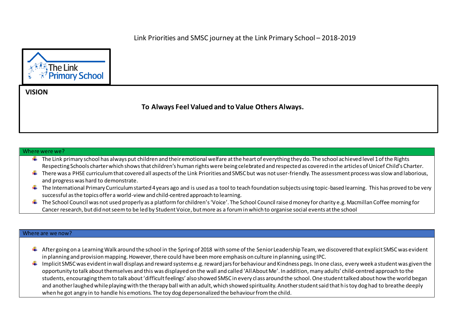

**VISION**

## **To Always Feel Valued and to Value Others Always.**

## Where were we?

- $\pm$  The Link primary school has always put children and their emotional welfare at the heart of everything they do. The school achieved level 1 of the Rights Respecting Schools charter which shows that children's human rights were being celebrated and respected as covered in the articles of Unicef Child's Charter.
- $\ddotplus$  There was a PHSE curriculum that covered all aspects of the Link Priorities and SMSC but was not user-friendly. The assessment process was slow and laborious, and progress was hard to demonstrate.
- $\ddot{\phantom{a}}$  The International Primary Curriculum started 4 years ago and is used as a tool to teach foundation subjects using topic-based learning. This has proved to be very successful as the topics offer a world-view and child-centred approach to learning.
- $\ddot{\bullet}$  The School Council was not used properly as a platform for children's 'Voice'. The School Council raised money for charity e.g. Macmillan Coffee morning for Cancer research, but did not seem to be led by Student Voice, but more as a forum in which to organise social events at the school

## Where are we now?

- $\ddot{*}$  After going on a Learning Walk around the school in the Spring of 2018 with some of the Senior Leadership Team, we discovered that explicit SMSC was evident in planning and provision mapping. However, there could have been more emphasis on culture in planning, using IPC.
- $\ddotplus$  Implicit SMSC was evident in wall displays and reward systems e.g. reward jars for behaviour and Kindness pegs. In one class, every week a student was given the opportunity to talk about themselves and this was displayed on the wall and called 'All About Me'. In addition, many adults' child-centred approach to the students, encouraging them to talk about 'difficult feelings' also showed SMSC in every class around the school. One student talked about how the world began and another laughed while playing with the therapy ball with an adult, which showed spirituality. Another student said that his toy dog had to breathe deeply when he got angry in to handle his emotions. The toy dog depersonalized the behaviour from the child.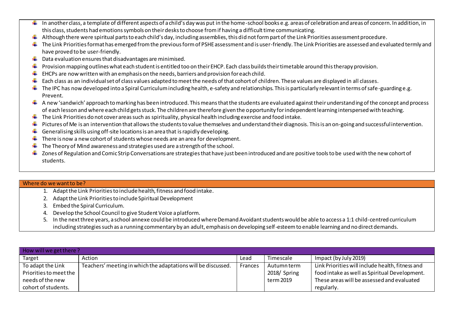- In another class, a template of different aspects of a child's day was put in the home-school books e.g. areas of celebration and areas of concern. In addition, in this class, students had emotions symbols on their desks to choose from if having a difficult time communicating.
- $\ddot{\phantom{a}}$  Although there were spiritual parts to each child's day, including assemblies, this did not form part of the Link Priorities assessment procedure.
- $\ddot{\phantom{a}}$  The Link Priorities format has emerged from the previous form of PSHE assessment and is user-friendly. The Link Priorities are assessed and evaluated termly and have proved to be user-friendly.
- a. Data evaluation ensures that disadvantages are minimised.
- Provision mapping outlines what each student is entitled too on their EHCP. Each class builds their timetable around this therapy provision.
- $\ddot{\phantom{1}}$  EHCPs are now written with an emphasis on the needs, barriers and provision for each child.
- Each class as an individual set of class values adapted to meet the needs of that cohort of children. These values are displayed in all classes. ۰.
- $\ddotplus$  The IPC has now developed into a Spiral Curriculum including health, e-safety and relationships. This is particularly relevant in terms of safe-guarding e.g. Prevent.
- $\ddotplus$  A new 'sandwich' approach to marking has been introduced. This means that the students are evaluated against their understand ing of the concept and process of each lesson and where each child gets stuck. The children are therefore given the opportunity for independent learning interspersed with teaching.
- $\ddot{\phantom{a}}$  The Link Priorities do not cover areas such as spirituality, physical health including exercise and food intake.
- ÷ Pictures of Me is an intervention that allows the students to value themselves and understand their diagnosis. This is an on-going and successful intervention.
- Generalising skills using off-site locations is an area that is rapidly developing. ۰.
- There is now a new cohort of students whose needs are an area for development. ۰.
- The Theory of Mind awareness and strategies used are a strength of the school.
- $\ddotplus$  Zones of Regulation and Comic Strip Conversations are strategies that have just been introduced and are positive tools to be used with the new cohort of students.

## Where do we want to be?

- 1. Adapt the Link Priorities to includehealth, fitness and food intake.
- 2. Adapt the Link Priorities to include Spiritual Development
- 3. Embed the Spiral Curriculum.
- 4. Develop the School Council to give Student Voice a platform.
- 5. In the next three years, a school annexe could be introduced where Demand Avoidant students would be able to access a 1:1 child-centred curriculum including strategies such as a running commentary by an adult, emphasis on developing self-esteem to enable learning and no direct demands.

| How will we get there? |                                                               |         |              |                                                  |  |  |
|------------------------|---------------------------------------------------------------|---------|--------------|--------------------------------------------------|--|--|
| Target                 | Action                                                        | Lead    | Timescale    | Impact (by July 2019)                            |  |  |
| To adapt the Link      | Teachers' meeting in which the adaptations will be discussed. | Frances | Autumn term  | Link Priorities will include health, fitness and |  |  |
| Priorities to meet the |                                                               |         | 2018/ Spring | food intake as well as Spiritual Development.    |  |  |
| needs of the new       |                                                               |         | term 2019    | These areas will be assessed and evaluated       |  |  |
| cohort of students.    |                                                               |         |              | regularly.                                       |  |  |